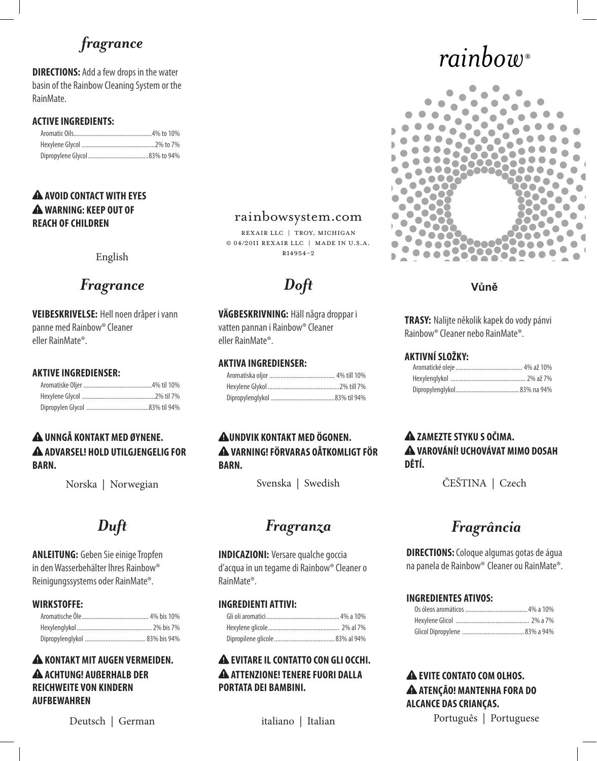# *fragrance*

**DIRECTIONS:** Add a few drops in the water basin of the Rainbow Cleaning System or the RainMate.

#### **Active Ingredients:**

#### **! Avoid contact with eyes ! Warning: Keep out of reach of children**

English

# *Fragrance Doft*

**Veibeskrivelse:** Hell noen dråper i vann panne med Rainbow® Cleaner eller RainMate®.

#### **Aktive ingredienser:**

#### **! Unngå kontakt med øynene. ! Advarsel! Hold utilgjengelig for barn.**

Norska | Norwegian

**ANLEITUNG:** Geben Sie einige Tropfen in den Wasserbehälter lhres Rainbow® Reinigungssystems oder RainMate®.

#### **Wirkstoffe:**

#### **! Kontakt mit augen VERMEIDEN. ! Achtung! AUßERHALB DER REICHWEITE VON KINDERN AUFBEWAHREN**

Deutsch | German italiano | Italian

### rainbowsystem.com

Rexair LLC | Troy, Michigan © 04/2011 Rexair LLC | Made in U.S.A.  $P14954-2$ 

**Vägbeskrivning:** Häll några droppar i vatten pannan i Rainbow® Cleaner eller RainMate®.

#### **Aktiva ingredienser:**

#### **! Undvik kontakt med ögonen. ! Varning! Förvaras oåtkomligt för barn.**

# *Duft Fragranza*

**INDICAZIONI:** Versare qualche goccia d'acqua in un tegame di Rainbow® Cleaner o RainMate®.

#### **Ingredienti attivi:**

#### **! Evitare il contatto con gli occhi. ! Attenzione! Tenere fuori dalla portata dei bambini.**

# *rainbow*®



### **Vůně**

**Trasy:** Nalijte několik kapek do vody pánvi Rainbow® Cleaner nebo RainMate®.

#### **Aktivní složky:**

#### **! Zamezte styku s očima. ! Varování! Uchovávat mimo dosah dětí.**

Svenska | Swedish ČEŠTINA | Czech

# *Fragrância*

**DIRECTIONS:** Coloque algumas gotas de água na panela de Rainbow® Cleaner ou RainMate®.

#### **Ingredientes ativos:**

### **! Evite contato com olhos. ! Atenção! Mantenha fora do alcance das crianças.**

Português | Portuguese